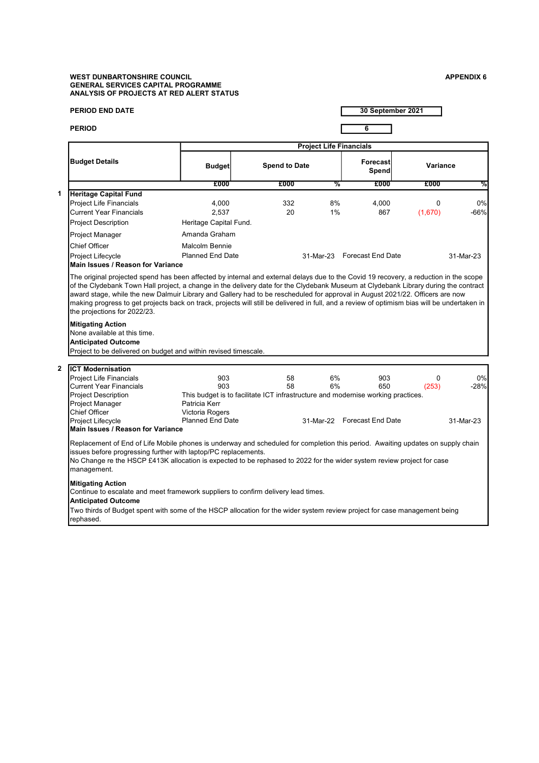## WEST DUNBARTONSHIRE COUNCIL APPENDIX 6 GENERAL SERVICES CAPITAL PROGRAMME ANALYSIS OF PROJECTS AT RED ALERT STATUS

1

2

| <b>PERIOD END DATE</b>                                                                                                                                                                            |                                                                                  |                                                                     |                      | 30 September 2021           |                                      |           |  |  |  |  |
|---------------------------------------------------------------------------------------------------------------------------------------------------------------------------------------------------|----------------------------------------------------------------------------------|---------------------------------------------------------------------|----------------------|-----------------------------|--------------------------------------|-----------|--|--|--|--|
| <b>PERIOD</b>                                                                                                                                                                                     |                                                                                  |                                                                     |                      | 6                           |                                      |           |  |  |  |  |
|                                                                                                                                                                                                   |                                                                                  |                                                                     |                      |                             |                                      |           |  |  |  |  |
| <b>Budget Details</b>                                                                                                                                                                             | <b>Budget</b>                                                                    |                                                                     | <b>Spend to Date</b> |                             | <b>Forecast</b><br>Variance<br>Spend |           |  |  |  |  |
|                                                                                                                                                                                                   | £000                                                                             | £000                                                                | %                    | £000                        | £000                                 | %         |  |  |  |  |
| <b>Heritage Capital Fund</b>                                                                                                                                                                      |                                                                                  |                                                                     |                      |                             |                                      |           |  |  |  |  |
| <b>Project Life Financials</b>                                                                                                                                                                    | 4,000                                                                            | 332                                                                 | 8%                   | 4,000                       | 0                                    | 0%        |  |  |  |  |
| <b>Current Year Financials</b>                                                                                                                                                                    | 2,537                                                                            | 20                                                                  | 1%                   | 867                         | (1,670)                              | $-66%$    |  |  |  |  |
| <b>Project Description</b>                                                                                                                                                                        | Heritage Capital Fund.                                                           |                                                                     |                      |                             |                                      |           |  |  |  |  |
| Project Manager                                                                                                                                                                                   | Amanda Graham                                                                    |                                                                     |                      |                             |                                      |           |  |  |  |  |
| <b>Chief Officer</b>                                                                                                                                                                              | <b>Malcolm Bennie</b>                                                            |                                                                     |                      |                             |                                      |           |  |  |  |  |
| Project Lifecycle                                                                                                                                                                                 |                                                                                  | <b>Planned End Date</b><br>31-Mar-23 Forecast End Date<br>31-Mar-23 |                      |                             |                                      |           |  |  |  |  |
| Main Issues / Reason for Variance                                                                                                                                                                 |                                                                                  |                                                                     |                      |                             |                                      |           |  |  |  |  |
| <b>Mitigating Action</b><br>None available at this time.<br><b>Anticipated Outcome</b><br>Project to be delivered on budget and within revised timescale.                                         |                                                                                  |                                                                     |                      |                             |                                      |           |  |  |  |  |
| <b>ICT Modernisation</b>                                                                                                                                                                          |                                                                                  |                                                                     |                      |                             |                                      |           |  |  |  |  |
| <b>Project Life Financials</b>                                                                                                                                                                    | 903                                                                              | 58                                                                  | 6%                   | 903                         | 0                                    | 0%        |  |  |  |  |
| <b>Current Year Financials</b>                                                                                                                                                                    | 903                                                                              | 58                                                                  | 6%                   | 650                         | (253)                                | $-28%$    |  |  |  |  |
| <b>Project Description</b>                                                                                                                                                                        | This budget is to facilitate ICT infrastructure and modernise working practices. |                                                                     |                      |                             |                                      |           |  |  |  |  |
| Project Manager                                                                                                                                                                                   | Patricia Kerr                                                                    |                                                                     |                      |                             |                                      |           |  |  |  |  |
| <b>Chief Officer</b>                                                                                                                                                                              | Victoria Rogers                                                                  |                                                                     |                      |                             |                                      |           |  |  |  |  |
| Project Lifecycle                                                                                                                                                                                 | <b>Planned End Date</b>                                                          |                                                                     |                      | 31-Mar-22 Forecast End Date |                                      | 31-Mar-23 |  |  |  |  |
| <b>Main Issues / Reason for Variance</b>                                                                                                                                                          |                                                                                  |                                                                     |                      |                             |                                      |           |  |  |  |  |
| Replacement of End of Life Mobile phones is underway and scheduled for completion this period. Awaiting updates on supply chain<br>issues before progressing further with laptop/PC replacements. |                                                                                  |                                                                     |                      |                             |                                      |           |  |  |  |  |
| No Change re the HSCP £413K allocation is expected to be rephased to 2022 for the wider system review project for case<br>management.                                                             |                                                                                  |                                                                     |                      |                             |                                      |           |  |  |  |  |
| <b>Mitigating Action</b><br>Continue to escalate and meet framework suppliers to confirm delivery lead times.                                                                                     |                                                                                  |                                                                     |                      |                             |                                      |           |  |  |  |  |
| <b>Anticipated Outcome</b>                                                                                                                                                                        |                                                                                  |                                                                     |                      |                             |                                      |           |  |  |  |  |

Two thirds of Budget spent with some of the HSCP allocation for the wider system review project for case management being rephased.